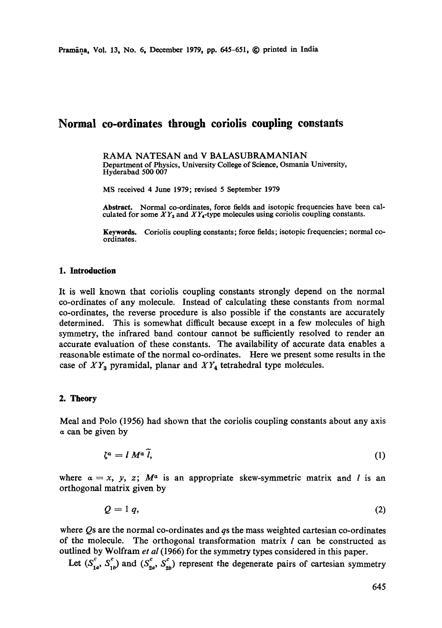## **Normal co-ordinates through coriolis coupling constants**

RAMA NATESAN and V BALASUBRAMANIAN Department of Physics, University College of Science, Osmania University, Hyderabad 500 007

MS received 4 June 1979; revised 5 September 1979

Abstract. Normal co-ordinates, force fields and isotopic frequencies have been cal-<br>culated for some *XY<sub>3</sub>* and *XY<sub>4</sub>*-type molecules using coriolis coupling constants.

Keywords. Coriolis coupling constants; force fields; isotopic frequencies; normal coordinates.

### **1. Introduction**

It is well known that coriolis coupling constants strongly depend on the normal co-ordinates of any molecule. Instead of calculating these constants from normal co-ordinates, the reverse procedure is also possible if the constants are accurately determined. This is somewhat difficult because except in a few molecules of high symmetry, the infrared band contour cannot be sufficiently resolved to render an accurate evaluation of these constants. The availability of accurate data enables a reasonable estimate of the normal co-ordinates. Here we present some results in the case of  $XY_3$  pyramidal, planar and  $XY_4$  tetrahedral type molecules.

### 2. **Theory**

Meal and Polo (1956) had shown that the coriolis coupling constants about any axis a can be given by

$$
\zeta^a = I M^a \tilde{l}, \qquad (1)
$$

where  $\alpha = x$ , y, z;  $M^{\alpha}$  is an appropriate skew-symmetric matrix and l is an orthogonal matrix given by

$$
Q = 1 q, \tag{2}
$$

where  $\overline{Q}$ s are the normal co-ordinates and  $q_s$  the mass weighted cartesian co-ordinates of the molecule. The orthogonal transformation matrix  $l$  can be constructed as outlined by Wolfram *et al* (1966) for the symmetry types considered in this paper.

Let  $(S_{1a}^c, S_{1b}^c)$  and  $(S_{2a}^c, S_{2b}^c)$  represent the degenerate pairs of cartesian symmetry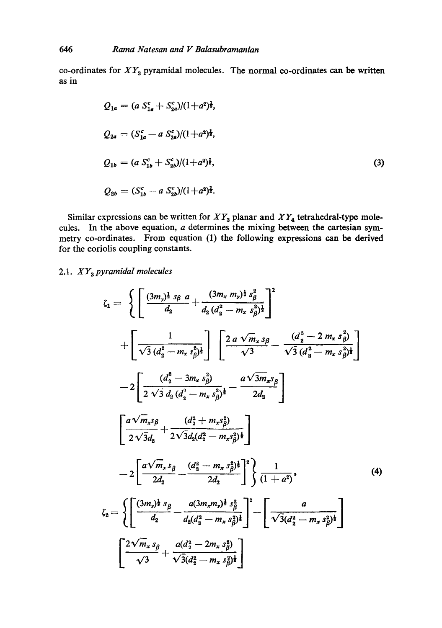co-ordinates for *XYa* pyramidal molecules. The normal co-ordinates can be written as in

$$
Q_{1a} = (a S_{1a}^c + S_{2a}^c)/(1+a^2)^{\frac{1}{2}},
$$
  
\n
$$
Q_{2a} = (S_{1a}^c - a S_{2a}^c)/(1+a^2)^{\frac{1}{2}},
$$
  
\n
$$
Q_{1b} = (a S_{1b}^c + S_{2b}^c)/(1+a^2)^{\frac{1}{2}},
$$
  
\n
$$
Q_{2b} = (S_{1b}^c - a S_{2b}^c)/(1+a^2)^{\frac{1}{2}}.
$$
  
\n(3)

Similar expressions can be written for  $XY_3$  planar and  $XY_4$  tetrahedral-type molecules. In the above equation,  $a$  determines the mixing between the cartesian symmetry co-ordinates. From equation (1) the following expressions can be derived for the coriolis coupling constants.

### 2.1. *X Y a pyramidal molecules*

$$
\zeta_{1} = \left\{ \left[ \frac{(3m_{y})^{\frac{1}{2}} s_{\beta} a}{d_{2}} + \frac{(3m_{x} m_{y})^{\frac{1}{2}} s_{\beta}^{2}}{d_{2} (d_{2}^{2} - m_{x} s_{\beta}^{2})^{\frac{1}{2}}} \right]^{2} + \left[ \frac{1}{\sqrt{3} (d_{2}^{2} - m_{x} s_{\beta}^{2})^{\frac{1}{2}}} \right] \left[ \frac{2 a \sqrt{m_{x}} s_{\beta}}{\sqrt{3}} - \frac{(d_{2}^{2} - 2 m_{x} s_{\beta}^{2})}{\sqrt{3} (d_{2}^{2} - m_{x} s_{\beta}^{2})^{\frac{1}{2}}} \right] - 2 \left[ \frac{(d_{2}^{2} - 3m_{x} s_{\beta}^{2})}{2 \sqrt{3} d_{2} (d_{2}^{2} - m_{x} s_{\beta}^{2})^{\frac{1}{2}}} - \frac{a \sqrt{3m_{x}} s_{\beta}}{2 d_{2}} \right]
$$

$$
\left[ \frac{a \sqrt{m_{x}} s_{\beta}}{2 \sqrt{3} d_{2}} + \frac{(d_{2}^{2} + m_{x} s_{\beta}^{2})}{2 \sqrt{3} d_{2} (d_{2}^{2} - m_{x} s_{\beta}^{2})^{\frac{1}{2}}} \right]
$$

$$
- 2 \left[ \frac{a \sqrt{m_{x}} s_{\beta}}{2 d_{2}} - \frac{(d_{2}^{2} - m_{x} s_{\beta}^{2})^{\frac{1}{2}}}{2 d_{2}} \right]^{2} \left\{ \frac{1}{(1 + a^{2})}, \frac{1}{(4)} \right\}
$$

$$
\zeta_{2} = \left\{ \left[ \frac{(3m_{y})^{\frac{1}{2}} s_{\beta}}{d_{2}} - \frac{a(3m_{x} m_{y})^{\frac{1}{2}} s_{\beta}^{2}}{a_{2} (d_{2}^{2} - m_{x} s_{\beta}^{2})^{\frac{1}{2}}} \right]^{2} - \left[ \frac{a}{\sqrt{3} (d_{2}^{2} - m_{x} s_{\beta}^{2})^{\frac{1}{2}}} \right]
$$

$$
\left[ \frac{2 \sqrt{m_{x}} s_{\beta}}{2} + \frac{a (d_{2}^{2} -
$$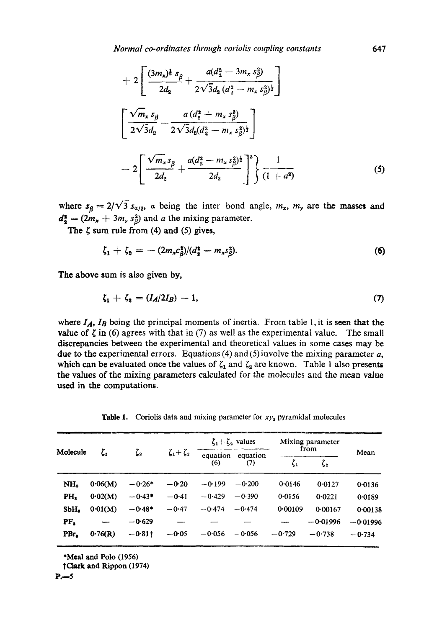*Normal co-ordinates through coriolis coupling constants* 647

$$
+ 2\left[\frac{(3m_x)^{\frac{1}{2}} s_{\beta}}{2d_2} + \frac{a(d_2^2 - 3m_x s_{\beta}^2)}{2\sqrt{3}d_2 (d_2^2 - m_x s_{\beta}^2)^{\frac{1}{2}}}\right]
$$

$$
\left[\frac{\sqrt{m_x} s_{\beta}}{2\sqrt{3}d_2} - \frac{a(d_2^{\frac{1}{2}} + m_x s_{\beta}^2)}{2\sqrt{3}d_2 (d_2^2 - m_x s_{\beta}^2)^{\frac{1}{2}}}\right]
$$

$$
- 2\left[\frac{\sqrt{m_x} s_{\beta}}{2d_2} + \frac{a(d_2^{\frac{1}{2}} - m_x s_{\beta}^2)^{\frac{1}{2}}}{2d_2}\right]^2\left{\frac{1}{(1+a^2)}}\right]
$$
(5)

where  $s_{\beta} = 2/\sqrt{3} s_{\alpha/2}$ , a being the inter bond angle,  $m_x$ ,  $m_y$  are the masses and  $d^2_{2} = (2m_x + 3m_y s^2)$  and a the mixing parameter.

The  $\zeta$  sum rule from (4) and (5) gives,

$$
\zeta_1 + \zeta_2 = -(2m_x c_{\beta}^2)/(d_2^2 - m_x s_{\beta}^2). \tag{6}
$$

**The** above sum is also given by,

$$
\zeta_1 + \zeta_2 = (I_A/2I_B) - 1,\tag{7}
$$

where  $I_A$ ,  $I_B$  being the principal moments of inertia. From table 1, it is seen that the value of  $\zeta$  in (6) agrees with that in (7) as well as the experimental value. The small discrepancies between the experimental and theoretical values in some cases may be due to the experimental errors. Equations (4) and (5) involve the mixing parameter  $a$ , which can be evaluated once the values of  $\zeta_1$  and  $\zeta_2$  are known. Table 1 also presents the values of the mixing parameters calculated for the molecules and the mean value used in the computations.

Table 1. Coriolis data and mixing parameter for *xYa* pyramidal molecules

| Molecule         | $\zeta_{1}$ | $\zeta_{2}$ | $\zeta_1+\zeta_2$ | $\zeta_1 + \zeta_2$ values |                 | Mixing parameter<br>from |             |            |
|------------------|-------------|-------------|-------------------|----------------------------|-----------------|--------------------------|-------------|------------|
|                  |             |             |                   | equation<br>(6)            | equation<br>(7) | $\zeta_1$                | $\zeta_{2}$ | Mean       |
| NH <sub>2</sub>  | 0.06(M)     | $-0.26*$    | $-0.20$           | $-0.199$                   | $-0.200$        | 0.0146                   | 0.0127      | 0.0136     |
| PH,              | 0.02(M)     | $-0.43*$    | $-0.41$           | $-0.429$                   | $-0.390$        | 0.0156                   | 0.0221      | 0.0189     |
| SbH <sub>2</sub> | 0.01(M)     | $-0.48*$    | $-0.47$           | $-0.474$                   | $-0.474$        | 0.00109                  | 0.00167     | 0:00138    |
| PF.              |             | $-0.629$    |                   |                            |                 |                          | $-0.01996$  | $-0.01996$ |
| PBr,             | 0.76(R)     | $-0.81$ †   | $-0.05$           | $-0.056$                   | $-0.056$        | $-0.729$                 | $-0.738$    | $-0.734$   |

\*Meal and Polo (1956)

tClatk and Rippon (1974)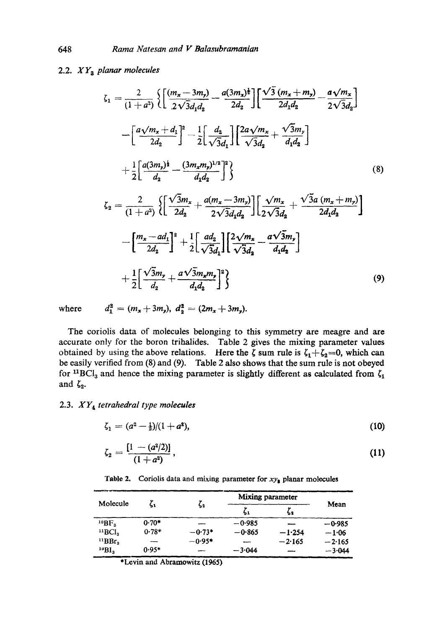# 2.2. *XY~ planar molecules*

$$
\zeta_{1} = \frac{2}{(1+a^{2})} \left\{ \left[ \frac{(m_{x}-3m_{y})}{2\sqrt{3}d_{1}d_{2}} - \frac{a(3m_{x})^{\frac{1}{2}}}{2d_{2}} \right] \left[ \frac{\sqrt{3}(m_{x}+m_{y})}{2d_{1}d_{2}} - \frac{a\sqrt{m_{x}}}{2\sqrt{3}d_{2}} \right] - \left[ \frac{a\sqrt{m_{x}+d_{1}}}{2d_{2}} \right]^{2} - \frac{1}{2} \left[ \frac{d_{2}}{\sqrt{3}d_{1}} \right] \left[ \frac{2a\sqrt{m_{x}}}{\sqrt{3}d_{2}} + \frac{\sqrt{3}m_{y}}{d_{1}d_{2}} \right] + \frac{1}{2} \left[ \frac{a(3m_{y})^{\frac{1}{2}}}{d_{2}} - \frac{(3m_{x}m_{y})^{1/2}}{d_{1}d_{2}} \right]^{2} \right\} \tag{8}
$$
  

$$
\zeta_{2} = \frac{2}{(1+a^{2})} \left\{ \left[ \frac{\sqrt{3}m_{x}}{2d_{2}} + \frac{a(m_{x}-3m_{y})}{2\sqrt{3}d_{1}d_{2}} \right] \left[ \frac{\sqrt{m_{x}}}{2\sqrt{3}d_{2}} + \frac{\sqrt{3}a(m_{x}+m_{y})}{2d_{1}d_{2}} \right] - \left[ \frac{m_{x}-ad_{1}}{2d_{2}} \right]^{2} + \frac{1}{2} \left[ \frac{ad_{2}}{\sqrt{3}d_{1}} \right] \left[ \frac{2\sqrt{m_{x}}}{\sqrt{3}d_{2}} - \frac{a\sqrt{3}m_{y}}{d_{1}d_{2}} \right] + \frac{1}{2} \left[ \frac{\sqrt{3}m_{y}}{d_{2}} + \frac{a\sqrt{3}m_{x}m_{y}}{d_{1}d_{2}} \right]^{2} \right\} \tag{9}
$$

where  $d_1^2 = (m_x + 3m_y), d_2^2 = (2m_x + 3m_y).$ 

The coriolis data of molecules belonging to this symmetry are meagre and are accurate only for the boron trihalides. Table 2 gives the mixing parameter values obtained by using the above relations. Here the  $\zeta$  sum rule is  $\zeta_1+\zeta_2=0$ , which can be easily verified from (8) and (9). Table 2 also shows that the sum rule is not obeyed for <sup>11</sup>BCI<sub>3</sub> and hence the mixing parameter is slightly different as calculated from  $\zeta_1$ and  $\zeta_2$ .

### 2.3. *XY~ tetrahedral type molecules*

$$
\zeta_1 = (a^2 - \frac{1}{2})/(1 + a^2), \tag{10}
$$

$$
\zeta_2 = \frac{[1 - (a^2/2)]}{(1 + a^2)},\tag{11}
$$

Table 2. Coriolis data and mixing parameter for  $xy_{\frac{1}{2}}$  planar molecules

| Molecule                |                | ς,       | Mixing parameter |          |          |
|-------------------------|----------------|----------|------------------|----------|----------|
|                         |                |          | 51               | 52       | Mean     |
| $^{10}BF.$              | $0.70*$        |          | $-0.985$         |          | $-0.985$ |
| $^{11}BCl3$             | $0.78*$        | $-0.73*$ | $-0.865$         | $-1.254$ | $-1.06$  |
| "BBr.                   | $\overline{ }$ | $-0.95*$ |                  | $-2.165$ | $-2.165$ |
| $^{10}$ BI <sub>3</sub> | $0.95*$        |          | $-3.044$         |          | $-3.044$ |

\*Levin and Abramowitz (1965)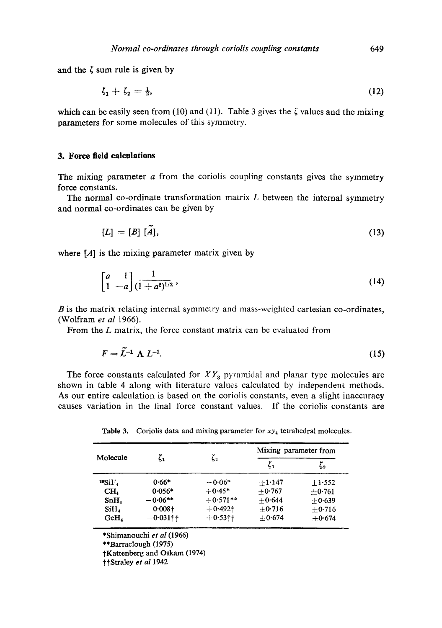and the  $\zeta$  sum rule is given by

$$
\zeta_1 + \zeta_2 = \frac{1}{2},\tag{12}
$$

which can be easily seen from (10) and (11). Table 3 gives the  $\zeta$  values and the mixing parameters for some molecules of this symmetry.

### **3. Force field calculations**

The mixing parameter  $a$  from the coriolis coupling constants gives the symmetry force constants.

The normal co-ordinate transformation matrix  $L$  between the internal symmetry and normal co-ordinates can be given by

$$
[L] = [B] [\tilde{A}], \tag{13}
$$

where  $[A]$  is the mixing parameter matrix given by

$$
\begin{bmatrix} a & 1 \ 1 & -a \end{bmatrix} \frac{1}{(1+a^2)^{1/2}},
$$
\n(14)

B is the matrix relating internal symmetry and mass-weighted cartesian co-ordinates, (Wolfram *et al* 1966).

From the L matrix, the force constant matrix can be evaluated from

$$
F = \tilde{L}^{-1} \Lambda L^{-1}.
$$
 (15)

The force constants calculated for  $XY_3$  pyramidal and planar type molecules are shown in table 4 along with literature values calculated by independent methods. As our entire calculation is based on the coriolis constants, even a slight inaccuracy causes variation in the final force constant values. If the coriolis constants are

Table 3. Coriolis data and mixing parameter for  $xy_4$  tetrahedral molecules.

|                  |             |             | Mixing parameter from |          |  |
|------------------|-------------|-------------|-----------------------|----------|--|
| Molecule         |             | ζ,<br>ζ,    |                       | ζ,       |  |
| $^{28}SiF4$      | $0.66*$     | $-0.06*$    | $+1.147$              | $+1.552$ |  |
| CH.              | $0.056*$    | $+0.45*$    | $+0.767$              | $+0.761$ |  |
| SnH <sub>4</sub> | $-0.06**$   | $+0.571**$  | $+0.644$              | $+0.639$ |  |
| SiH.             | $0.008 +$   | $+0.492 +$  | $+0.716$              | $+0.716$ |  |
| GeH,             | $-0.031$ †† | $+0.53 + +$ | $+0.674$              | $+0.674$ |  |

\*Shimanouchi *et al* (1966)

\*\*Barraelough (1975)

tKattenberg and Oskam (1974)

t,Straley *et al* 1942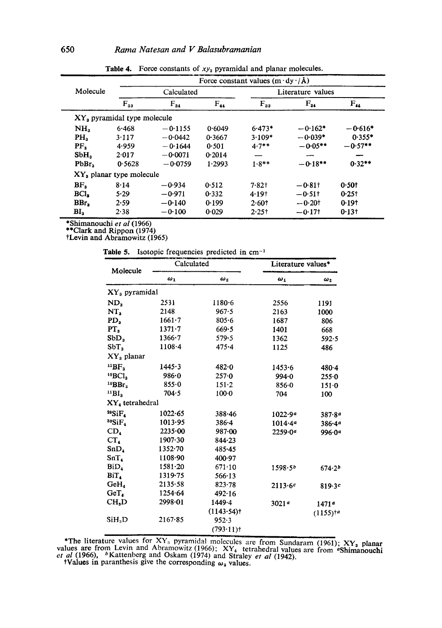|                             |                               |            |          | Force constant values $(m \cdot dy \cdot / \mathbf{A})$ |                   |                                |  |
|-----------------------------|-------------------------------|------------|----------|---------------------------------------------------------|-------------------|--------------------------------|--|
| Molecule                    |                               | Calculated |          |                                                         | Literature values |                                |  |
|                             | $F_{33}$                      | $F_{34}$   | $F_{44}$ | $F_{33}$                                                | $F_{34}$          | $F_{\boldsymbol{\mathcal{H}}}$ |  |
|                             | $XYs$ pyramidal type molecule |            |          |                                                         |                   |                                |  |
| NH <sub>2</sub>             | 6.468                         | $-0.1155$  | 0.6049   | $6.473*$                                                | $-0.162*$         | $-0.616*$                      |  |
| PH <sub>2</sub>             | 3.117                         | $-0.0442$  | 0.3667   | $3.109*$                                                | $-0.039*$         | $0.355*$                       |  |
| PF <sub>s</sub>             | 4.959                         | $-0.1644$  | 0.501    | $4.7**$                                                 | $-0.05**$         | $-0.57**$                      |  |
| SbH,                        | 2.017                         | $-0.0071$  | 0.2014   |                                                         | --                |                                |  |
| PbBr <sub>2</sub>           | 0.5628                        | $-0.0759$  | 1.2993   | $1.8**$                                                 | $-0.18**$         | $0.32**$                       |  |
| $XY_a$ planar type molecule |                               |            |          |                                                         |                   |                                |  |
| BF <sub>3</sub>             | 8.14                          | $-0.934$   | 0.512    | $7.82$ t                                                | $-0.81$ t         | 0.501                          |  |
| BCI,                        | 5.29                          | $-0.971$   | 0.332    | 4.19 <sup>+</sup>                                       | $-0.511$          | 0.25t                          |  |
| BBr.                        | 2.59                          | $-0.140$   | 0.199    | 2.601                                                   | $-0.20$ t         | 0.191                          |  |
| BI <sub>3</sub>             | 2.38                          | $-0.100$   | 0.029    | $2.25$ t                                                | $-0.17$ †         | 0.131                          |  |

Table 4. Force constants of  $xy_3$  pyramidal and planar molecules.

\*Shimanouchi *et al* (1966) \*\*Clark and Rippon (1974)

tLevin and Abramowitz (1965)

Table 5. Isotopic frequencies predicted in cm<sup>-1</sup>

| Molecule                        | Calculated  |                         | Literature values*  |                    |
|---------------------------------|-------------|-------------------------|---------------------|--------------------|
|                                 | $\omega_1$  | $\omega_{2}$            | $\omega_1$          | $\omega_2$         |
| XY <sub>3</sub> pyramidal       |             |                         |                     |                    |
| ND,                             | 2531        | $1180 - 6$              | 2556                | 1191               |
| NT,                             | 2148        | 967.5                   | 2163                | 1000               |
| PD <sub>3</sub>                 | $1661 - 7$  | $805 - 6$               | 1687                | 806                |
| PT <sub>s</sub>                 | $1371 - 7$  | 669.5                   | 1401                | 668                |
| SbD <sub>s</sub>                | $1366 - 7$  | 579.5                   | 1362                | 592.5              |
| SbT <sub>3</sub>                | $1108 - 4$  | $475 - 4$               | 1125                | 486                |
| $XYa$ planar                    |             |                         |                     |                    |
| $^{11}BF$                       | 1445.3      | $482 - 0$               | 1453.6              | 480.4              |
| ${}^{10}BCl3$                   | 986.0       | 257.0                   | 994.0               | $255 - 0$          |
| $^{10}$ BBr <sub>3</sub>        | 855.0       | $151 - 2$               | 856.0               | 151.0              |
| $^{11}B1_3$                     | 704.5       | $100 - 0$               | 704                 | 100                |
| XY, tetrahedral                 |             |                         |                     |                    |
| $^{29}SiF4$                     | 1022.65     | 388.46                  | 1022.99             | 387.89             |
| $^{30}SiF_4$                    | 1013.95     | $386 - 4$               | 1014.4a             | 386.49             |
| CD <sub>4</sub>                 | 2235.00     | 987.00                  | 2259.09             | 996.09             |
| $CT_{4}$                        | $1907 - 30$ | $844 - 23$              |                     |                    |
| SnD <sub>1</sub>                | $1352 - 70$ | 485.45                  |                     |                    |
| SnT <sub>4</sub>                | 1108.90     | 400.97                  |                     |                    |
| $\mathbf{B}$ i $\mathbf{D}_{4}$ | $1581 - 20$ | $671 - 10$              | 1598.5 <sup>b</sup> | 674.2 <sup>b</sup> |
| BiT.                            | 1319.75     | 566.13                  |                     |                    |
| GeH <sub>a</sub>                | 2135.58     | 823.78                  | 2113.6c             | 819.3c             |
| GeT.                            | 1254.64     | 492.16                  |                     |                    |
| CH <sub>n</sub> D               | 2998.01     | 1449.4                  | 3021a               | 1471ª              |
|                                 |             | (1143.54)               |                     | $(1155)^{1a}$      |
| SiH.D                           | 2167.85     | 952.3                   |                     |                    |
|                                 |             | $(793.11)$ <sup>+</sup> |                     |                    |

\*The literature values for  $XY_3$  pyramidal molecules are from Sundaram (1961); XY, planar values are from Levin and Abramowitz (1966);  $XY_4$  tetrahedral values are from "Shimanouchies" at al (1966), <sup>b</sup>Kattenberg and Oskam (1974) and Straley *et al* (1942).